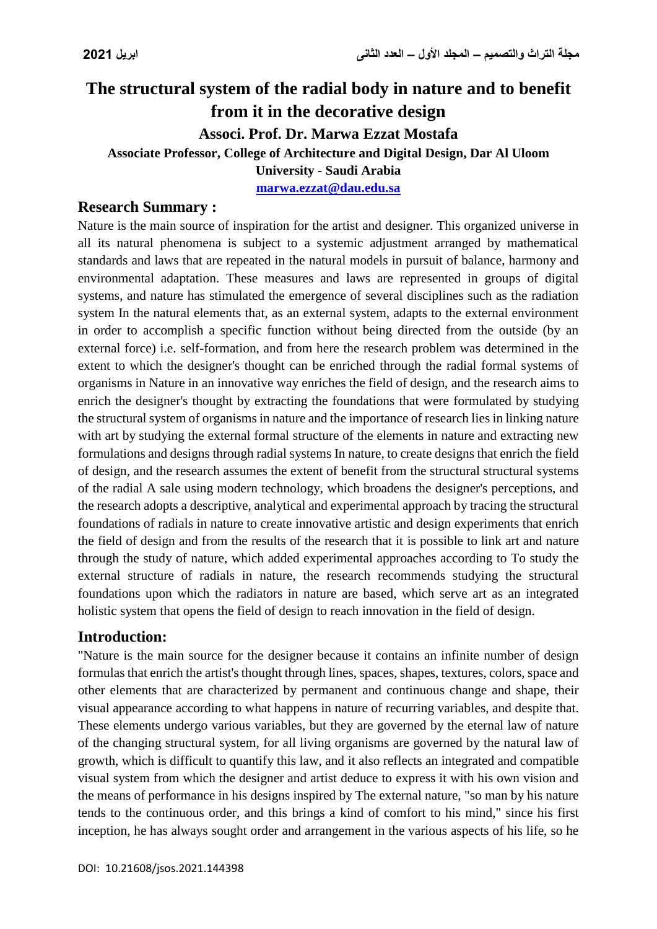# **The structural system of the radial body in nature and to benefit from it in the decorative design Associ. Prof. Dr. Marwa Ezzat Mostafa Associate Professor, College of Architecture and Digital Design, Dar Al Uloom University - Saudi Arabia [marwa.ezzat@dau.edu.sa](mailto:marwa.ezzat@dau.edu.sa)**

## **Research Summary :**

Nature is the main source of inspiration for the artist and designer. This organized universe in all its natural phenomena is subject to a systemic adjustment arranged by mathematical standards and laws that are repeated in the natural models in pursuit of balance, harmony and environmental adaptation. These measures and laws are represented in groups of digital systems, and nature has stimulated the emergence of several disciplines such as the radiation system In the natural elements that, as an external system, adapts to the external environment in order to accomplish a specific function without being directed from the outside (by an external force) i.e. self-formation, and from here the research problem was determined in the extent to which the designer's thought can be enriched through the radial formal systems of organisms in Nature in an innovative way enriches the field of design, and the research aims to enrich the designer's thought by extracting the foundations that were formulated by studying the structural system of organisms in nature and the importance of research lies in linking nature with art by studying the external formal structure of the elements in nature and extracting new formulations and designs through radial systems In nature, to create designs that enrich the field of design, and the research assumes the extent of benefit from the structural structural systems of the radial A sale using modern technology, which broadens the designer's perceptions, and the research adopts a descriptive, analytical and experimental approach by tracing the structural foundations of radials in nature to create innovative artistic and design experiments that enrich the field of design and from the results of the research that it is possible to link art and nature through the study of nature, which added experimental approaches according to To study the external structure of radials in nature, the research recommends studying the structural foundations upon which the radiators in nature are based, which serve art as an integrated holistic system that opens the field of design to reach innovation in the field of design.

## **Introduction:**

"Nature is the main source for the designer because it contains an infinite number of design formulas that enrich the artist's thought through lines, spaces, shapes, textures, colors, space and other elements that are characterized by permanent and continuous change and shape, their visual appearance according to what happens in nature of recurring variables, and despite that. These elements undergo various variables, but they are governed by the eternal law of nature of the changing structural system, for all living organisms are governed by the natural law of growth, which is difficult to quantify this law, and it also reflects an integrated and compatible visual system from which the designer and artist deduce to express it with his own vision and the means of performance in his designs inspired by The external nature, "so man by his nature tends to the continuous order, and this brings a kind of comfort to his mind," since his first inception, he has always sought order and arrangement in the various aspects of his life, so he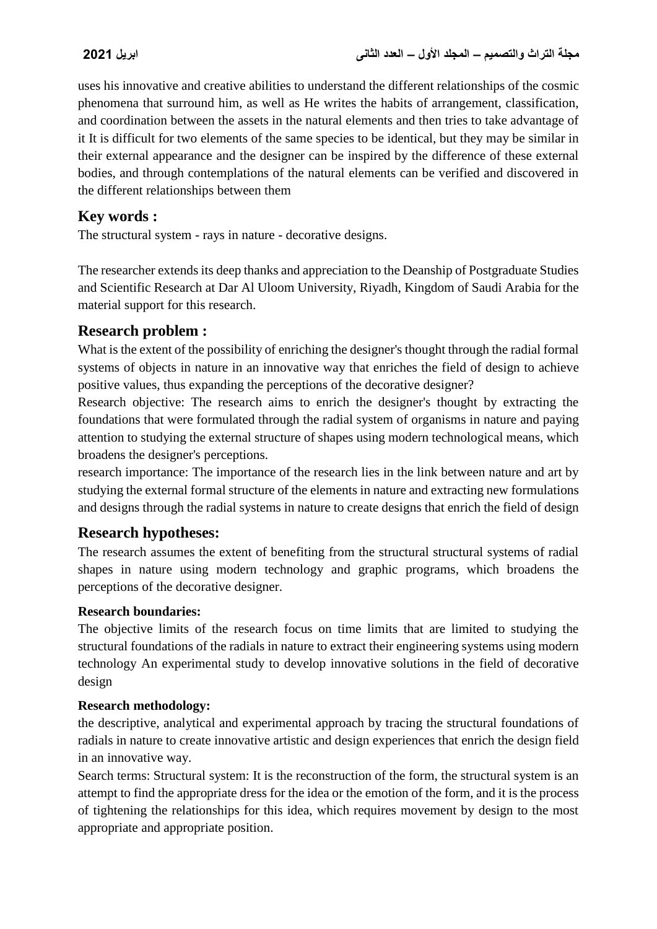uses his innovative and creative abilities to understand the different relationships of the cosmic phenomena that surround him, as well as He writes the habits of arrangement, classification, and coordination between the assets in the natural elements and then tries to take advantage of it It is difficult for two elements of the same species to be identical, but they may be similar in their external appearance and the designer can be inspired by the difference of these external bodies, and through contemplations of the natural elements can be verified and discovered in the different relationships between them

## **Key words :**

The structural system - rays in nature - decorative designs.

The researcher extends its deep thanks and appreciation to the Deanship of Postgraduate Studies and Scientific Research at Dar Al Uloom University, Riyadh, Kingdom of Saudi Arabia for the material support for this research.

## **Research problem :**

What is the extent of the possibility of enriching the designer's thought through the radial formal systems of objects in nature in an innovative way that enriches the field of design to achieve positive values, thus expanding the perceptions of the decorative designer?

Research objective: The research aims to enrich the designer's thought by extracting the foundations that were formulated through the radial system of organisms in nature and paying attention to studying the external structure of shapes using modern technological means, which broadens the designer's perceptions.

research importance: The importance of the research lies in the link between nature and art by studying the external formal structure of the elements in nature and extracting new formulations and designs through the radial systems in nature to create designs that enrich the field of design

## **Research hypotheses:**

The research assumes the extent of benefiting from the structural structural systems of radial shapes in nature using modern technology and graphic programs, which broadens the perceptions of the decorative designer.

### **Research boundaries:**

The objective limits of the research focus on time limits that are limited to studying the structural foundations of the radials in nature to extract their engineering systems using modern technology An experimental study to develop innovative solutions in the field of decorative design

### **Research methodology:**

the descriptive, analytical and experimental approach by tracing the structural foundations of radials in nature to create innovative artistic and design experiences that enrich the design field in an innovative way.

Search terms: Structural system: It is the reconstruction of the form, the structural system is an attempt to find the appropriate dress for the idea or the emotion of the form, and it is the process of tightening the relationships for this idea, which requires movement by design to the most appropriate and appropriate position.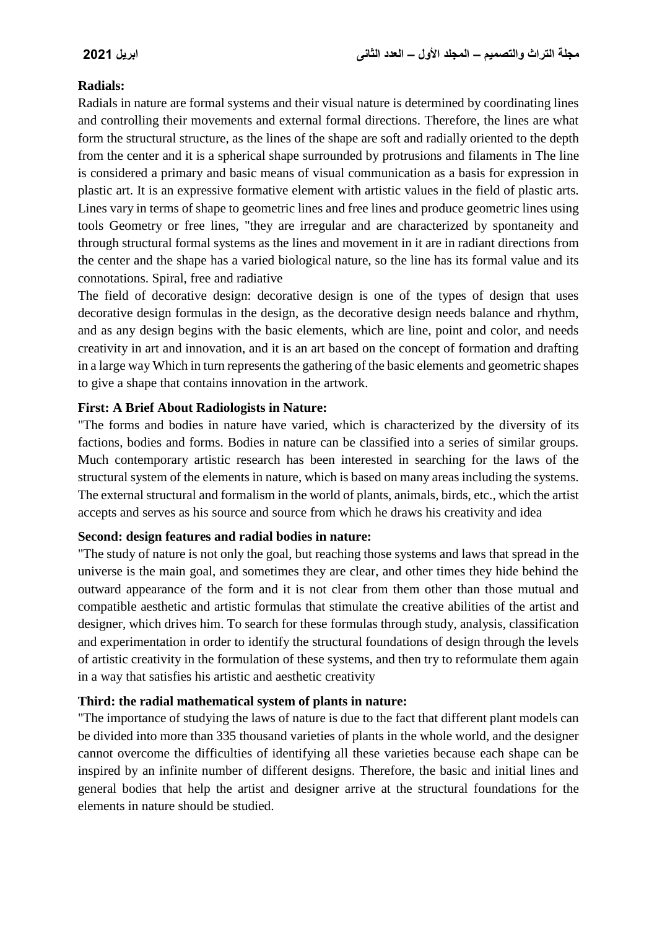#### **Radials:**

Radials in nature are formal systems and their visual nature is determined by coordinating lines and controlling their movements and external formal directions. Therefore, the lines are what form the structural structure, as the lines of the shape are soft and radially oriented to the depth from the center and it is a spherical shape surrounded by protrusions and filaments in The line is considered a primary and basic means of visual communication as a basis for expression in plastic art. It is an expressive formative element with artistic values in the field of plastic arts. Lines vary in terms of shape to geometric lines and free lines and produce geometric lines using tools Geometry or free lines, "they are irregular and are characterized by spontaneity and through structural formal systems as the lines and movement in it are in radiant directions from the center and the shape has a varied biological nature, so the line has its formal value and its connotations. Spiral, free and radiative

The field of decorative design: decorative design is one of the types of design that uses decorative design formulas in the design, as the decorative design needs balance and rhythm, and as any design begins with the basic elements, which are line, point and color, and needs creativity in art and innovation, and it is an art based on the concept of formation and drafting in a large way Which in turn represents the gathering of the basic elements and geometric shapes to give a shape that contains innovation in the artwork.

#### **First: A Brief About Radiologists in Nature:**

"The forms and bodies in nature have varied, which is characterized by the diversity of its factions, bodies and forms. Bodies in nature can be classified into a series of similar groups. Much contemporary artistic research has been interested in searching for the laws of the structural system of the elements in nature, which is based on many areas including the systems. The external structural and formalism in the world of plants, animals, birds, etc., which the artist accepts and serves as his source and source from which he draws his creativity and idea

#### **Second: design features and radial bodies in nature:**

"The study of nature is not only the goal, but reaching those systems and laws that spread in the universe is the main goal, and sometimes they are clear, and other times they hide behind the outward appearance of the form and it is not clear from them other than those mutual and compatible aesthetic and artistic formulas that stimulate the creative abilities of the artist and designer, which drives him. To search for these formulas through study, analysis, classification and experimentation in order to identify the structural foundations of design through the levels of artistic creativity in the formulation of these systems, and then try to reformulate them again in a way that satisfies his artistic and aesthetic creativity

#### **Third: the radial mathematical system of plants in nature:**

"The importance of studying the laws of nature is due to the fact that different plant models can be divided into more than 335 thousand varieties of plants in the whole world, and the designer cannot overcome the difficulties of identifying all these varieties because each shape can be inspired by an infinite number of different designs. Therefore, the basic and initial lines and general bodies that help the artist and designer arrive at the structural foundations for the elements in nature should be studied.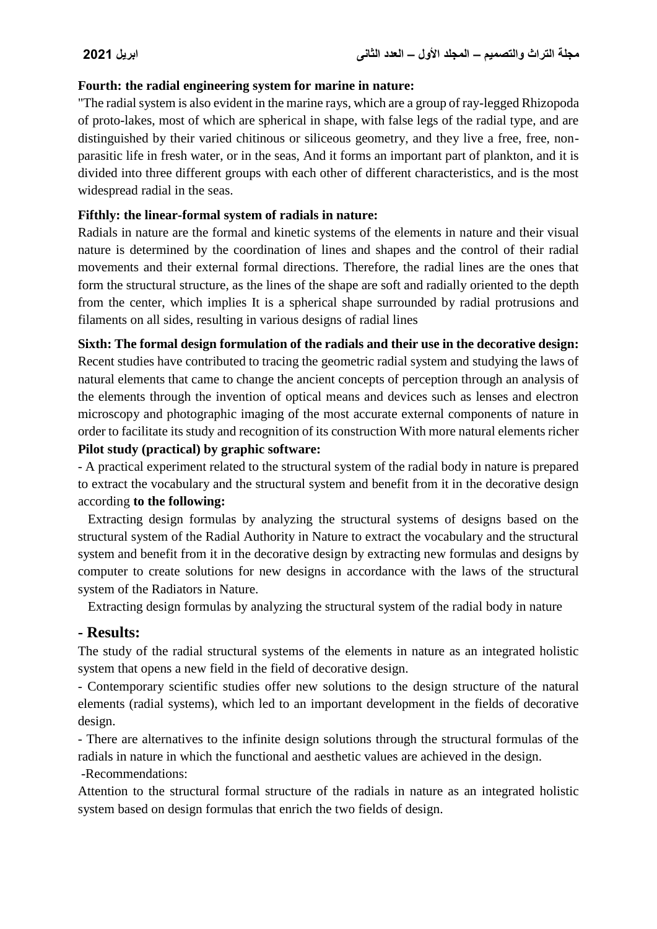#### **Fourth: the radial engineering system for marine in nature:**

"The radial system is also evident in the marine rays, which are a group of ray-legged Rhizopoda of proto-lakes, most of which are spherical in shape, with false legs of the radial type, and are distinguished by their varied chitinous or siliceous geometry, and they live a free, free, nonparasitic life in fresh water, or in the seas, And it forms an important part of plankton, and it is divided into three different groups with each other of different characteristics, and is the most widespread radial in the seas.

#### **Fifthly: the linear-formal system of radials in nature:**

Radials in nature are the formal and kinetic systems of the elements in nature and their visual nature is determined by the coordination of lines and shapes and the control of their radial movements and their external formal directions. Therefore, the radial lines are the ones that form the structural structure, as the lines of the shape are soft and radially oriented to the depth from the center, which implies It is a spherical shape surrounded by radial protrusions and filaments on all sides, resulting in various designs of radial lines

**Sixth: The formal design formulation of the radials and their use in the decorative design:**

Recent studies have contributed to tracing the geometric radial system and studying the laws of natural elements that came to change the ancient concepts of perception through an analysis of the elements through the invention of optical means and devices such as lenses and electron microscopy and photographic imaging of the most accurate external components of nature in order to facilitate its study and recognition of its construction With more natural elements richer **Pilot study (practical) by graphic software:**

- A practical experiment related to the structural system of the radial body in nature is prepared to extract the vocabulary and the structural system and benefit from it in the decorative design according **to the following:**

 Extracting design formulas by analyzing the structural systems of designs based on the structural system of the Radial Authority in Nature to extract the vocabulary and the structural system and benefit from it in the decorative design by extracting new formulas and designs by computer to create solutions for new designs in accordance with the laws of the structural system of the Radiators in Nature.

Extracting design formulas by analyzing the structural system of the radial body in nature

### **- Results:**

The study of the radial structural systems of the elements in nature as an integrated holistic system that opens a new field in the field of decorative design.

- Contemporary scientific studies offer new solutions to the design structure of the natural elements (radial systems), which led to an important development in the fields of decorative design.

- There are alternatives to the infinite design solutions through the structural formulas of the radials in nature in which the functional and aesthetic values are achieved in the design.

-Recommendations:

Attention to the structural formal structure of the radials in nature as an integrated holistic system based on design formulas that enrich the two fields of design.